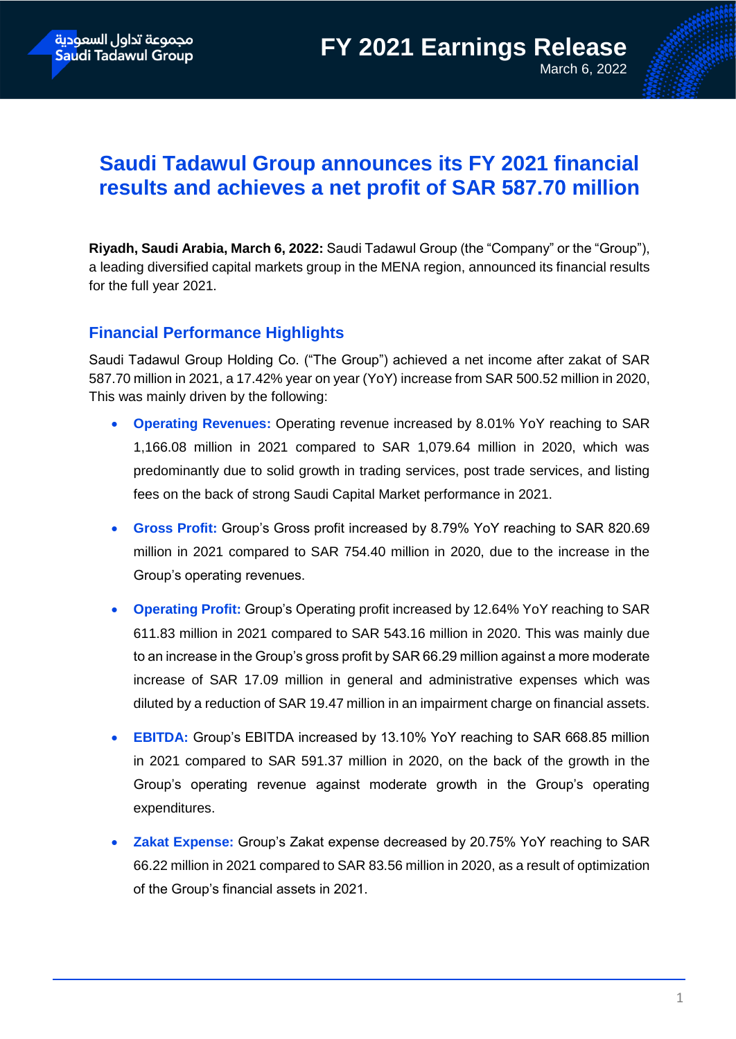# **Saudi Tadawul Group announces its FY 2021 financial results and achieves a net profit of SAR 587.70 million**

**Riyadh, Saudi Arabia, March 6, 2022:** Saudi Tadawul Group (the "Company" or the "Group"), a leading diversified capital markets group in the MENA region, announced its financial results for the full year 2021.

## **Financial Performance Highlights**

Saudi Tadawul Group Holding Co. ("The Group") achieved a net income after zakat of SAR 587.70 million in 2021, a 17.42% year on year (YoY) increase from SAR 500.52 million in 2020, This was mainly driven by the following:

- **Operating Revenues:** Operating revenue increased by 8.01% YoY reaching to SAR 1,166.08 million in 2021 compared to SAR 1,079.64 million in 2020, which was predominantly due to solid growth in trading services, post trade services, and listing fees on the back of strong Saudi Capital Market performance in 2021.
- **Gross Profit:** Group's Gross profit increased by 8.79% YoY reaching to SAR 820.69 million in 2021 compared to SAR 754.40 million in 2020, due to the increase in the Group's operating revenues.
- **Operating Profit:** Group's Operating profit increased by 12.64% YoY reaching to SAR 611.83 million in 2021 compared to SAR 543.16 million in 2020. This was mainly due to an increase in the Group's gross profit by SAR 66.29 million against a more moderate increase of SAR 17.09 million in general and administrative expenses which was diluted by a reduction of SAR 19.47 million in an impairment charge on financial assets.
- **EBITDA:** Group's EBITDA increased by 13.10% YoY reaching to SAR 668.85 million in 2021 compared to SAR 591.37 million in 2020, on the back of the growth in the Group's operating revenue against moderate growth in the Group's operating expenditures.
- **Zakat Expense:** Group's Zakat expense decreased by 20.75% YoY reaching to SAR 66.22 million in 2021 compared to SAR 83.56 million in 2020, as a result of optimization of the Group's financial assets in 2021.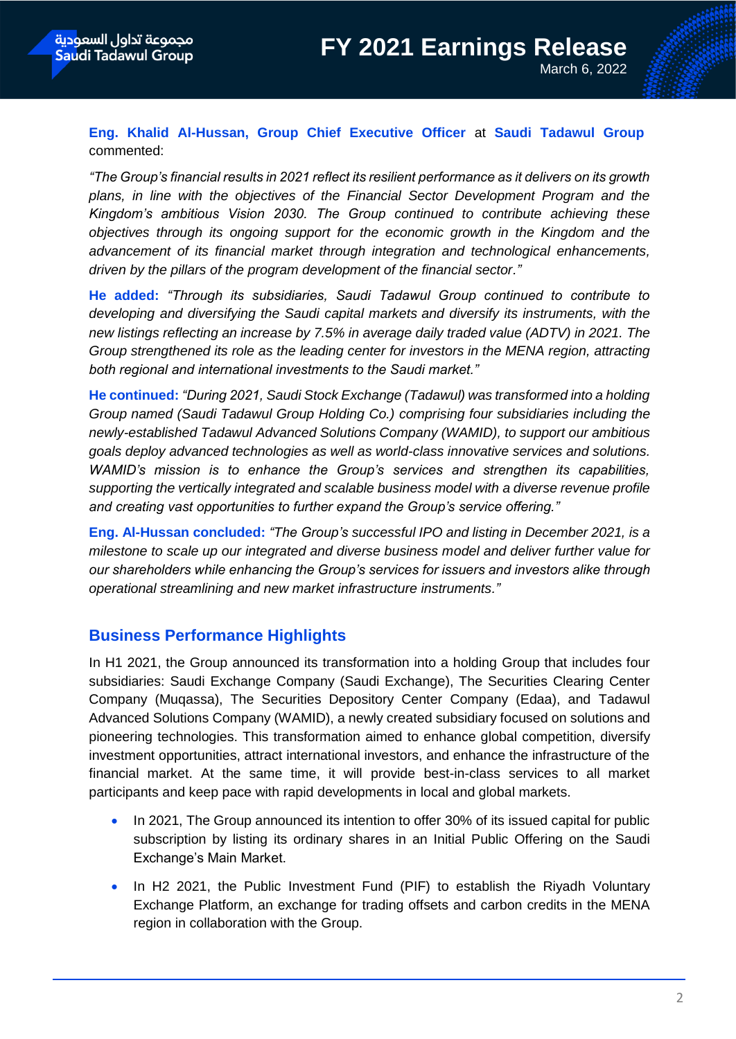**Eng. Khalid Al-Hussan, Group Chief Executive Officer** at **Saudi Tadawul Group** commented:

*"The Group's financial results in 2021 reflect its resilient performance as it delivers on its growth plans, in line with the objectives of the Financial Sector Development Program and the Kingdom's ambitious Vision 2030. The Group continued to contribute achieving these objectives through its ongoing support for the economic growth in the Kingdom and the advancement of its financial market through integration and technological enhancements, driven by the pillars of the program development of the financial sector."*

**He added:** *"Through its subsidiaries, Saudi Tadawul Group continued to contribute to developing and diversifying the Saudi capital markets and diversify its instruments, with the new listings reflecting an increase by 7.5% in average daily traded value (ADTV) in 2021. The Group strengthened its role as the leading center for investors in the MENA region, attracting both regional and international investments to the Saudi market."* 

**He continued:** *"During 2021, Saudi Stock Exchange (Tadawul) was transformed into a holding Group named (Saudi Tadawul Group Holding Co.) comprising four subsidiaries including the newly-established Tadawul Advanced Solutions Company (WAMID), to support our ambitious goals deploy advanced technologies as well as world-class innovative services and solutions. WAMID's mission is to enhance the Group's services and strengthen its capabilities, supporting the vertically integrated and scalable business model with a diverse revenue profile and creating vast opportunities to further expand the Group's service offering."*

**Eng. Al-Hussan concluded:** *"The Group's successful IPO and listing in December 2021, is a milestone to scale up our integrated and diverse business model and deliver further value for our shareholders while enhancing the Group's services for issuers and investors alike through operational streamlining and new market infrastructure instruments."*

### **Business Performance Highlights**

In H1 2021, the Group announced its transformation into a holding Group that includes four subsidiaries: Saudi Exchange Company (Saudi Exchange), The Securities Clearing Center Company (Muqassa), The Securities Depository Center Company (Edaa), and Tadawul Advanced Solutions Company (WAMID), a newly created subsidiary focused on solutions and pioneering technologies. This transformation aimed to enhance global competition, diversify investment opportunities, attract international investors, and enhance the infrastructure of the financial market. At the same time, it will provide best-in-class services to all market participants and keep pace with rapid developments in local and global markets.

- In 2021, The Group announced its intention to offer 30% of its issued capital for public subscription by listing its ordinary shares in an Initial Public Offering on the Saudi Exchange's Main Market.
- In H2 2021, the Public Investment Fund (PIF) to establish the Riyadh Voluntary Exchange Platform, an exchange for trading offsets and carbon credits in the MENA region in collaboration with the Group.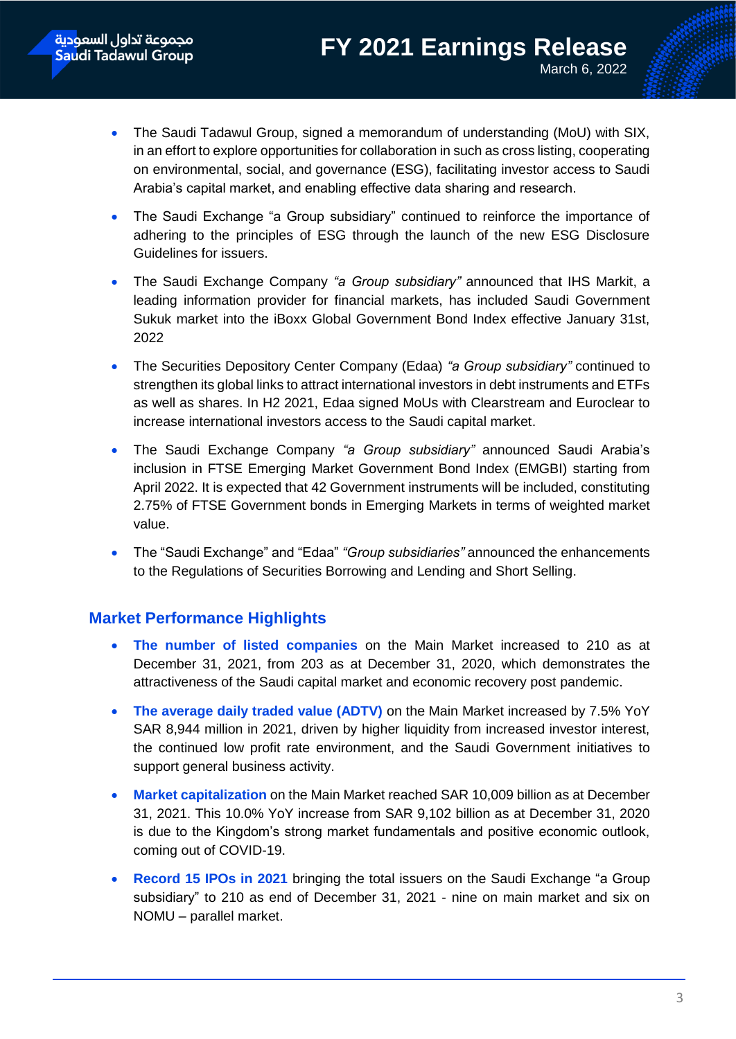- The Saudi Tadawul Group, signed a memorandum of understanding (MoU) with SIX, in an effort to explore opportunities for collaboration in such as cross listing, cooperating on environmental, social, and governance (ESG), facilitating investor access to Saudi Arabia's capital market, and enabling effective data sharing and research.
- The Saudi Exchange "a Group subsidiary" continued to reinforce the importance of adhering to the principles of ESG through the launch of the new ESG Disclosure Guidelines for issuers.
- The Saudi Exchange Company *"a Group subsidiary"* announced that IHS Markit, a leading information provider for financial markets, has included Saudi Government Sukuk market into the iBoxx Global Government Bond Index effective January 31st, 2022
- The Securities Depository Center Company (Edaa) *"a Group subsidiary"* continued to strengthen its global links to attract international investors in debt instruments and ETFs as well as shares. In H2 2021, Edaa signed MoUs with Clearstream and Euroclear to increase international investors access to the Saudi capital market.
- The Saudi Exchange Company *"a Group subsidiary"* announced Saudi Arabia's inclusion in FTSE Emerging Market Government Bond Index (EMGBI) starting from April 2022. It is expected that 42 Government instruments will be included, constituting 2.75% of FTSE Government bonds in Emerging Markets in terms of weighted market value.
- The "Saudi Exchange" and "Edaa" *"Group subsidiaries"* announced the enhancements to the Regulations of Securities Borrowing and Lending and Short Selling.

### **Market Performance Highlights**

- **The number of listed companies** on the Main Market increased to 210 as at December 31, 2021, from 203 as at December 31, 2020, which demonstrates the attractiveness of the Saudi capital market and economic recovery post pandemic.
- **The average daily traded value (ADTV)** on the Main Market increased by 7.5% YoY SAR 8,944 million in 2021, driven by higher liquidity from increased investor interest, the continued low profit rate environment, and the Saudi Government initiatives to support general business activity.
- **Market capitalization** on the Main Market reached SAR 10,009 billion as at December 31, 2021. This 10.0% YoY increase from SAR 9,102 billion as at December 31, 2020 is due to the Kingdom's strong market fundamentals and positive economic outlook, coming out of COVID-19.
- **Record 15 IPOs in 2021** bringing the total issuers on the Saudi Exchange "a Group subsidiary" to 210 as end of December 31, 2021 - nine on main market and six on NOMU – parallel market.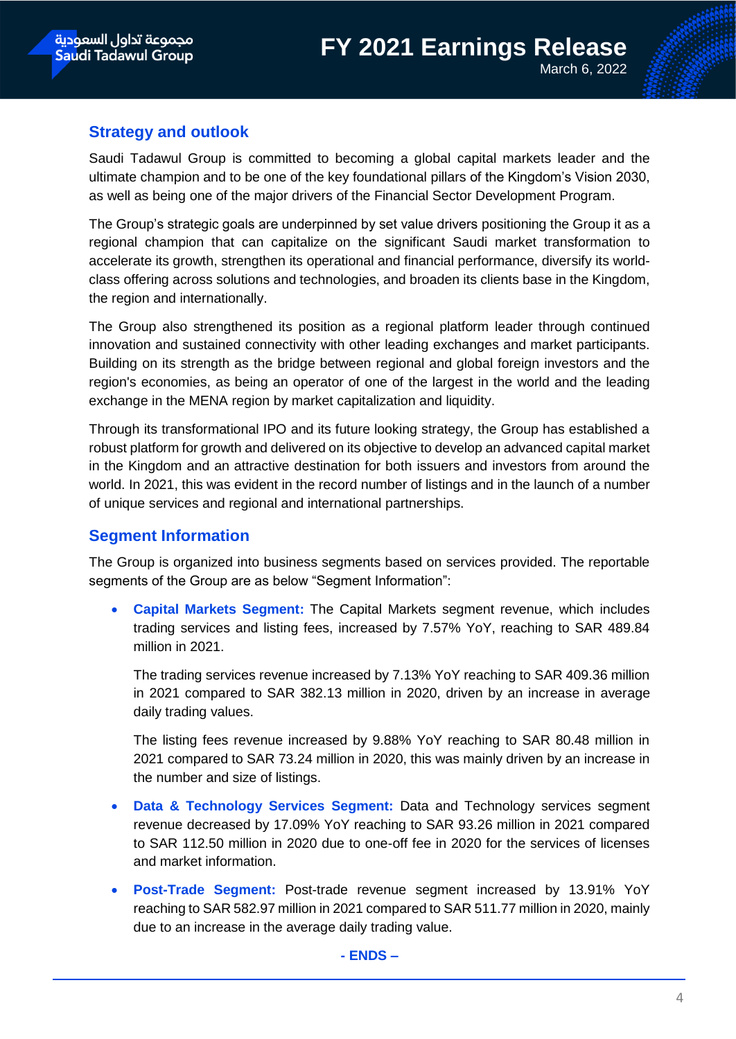### **Strategy and outlook**

Saudi Tadawul Group is committed to becoming a global capital markets leader and the ultimate champion and to be one of the key foundational pillars of the Kingdom's Vision 2030, as well as being one of the major drivers of the Financial Sector Development Program.

The Group's strategic goals are underpinned by set value drivers positioning the Group it as a regional champion that can capitalize on the significant Saudi market transformation to accelerate its growth, strengthen its operational and financial performance, diversify its worldclass offering across solutions and technologies, and broaden its clients base in the Kingdom, the region and internationally.

The Group also strengthened its position as a regional platform leader through continued innovation and sustained connectivity with other leading exchanges and market participants. Building on its strength as the bridge between regional and global foreign investors and the region's economies, as being an operator of one of the largest in the world and the leading exchange in the MENA region by market capitalization and liquidity.

Through its transformational IPO and its future looking strategy, the Group has established a robust platform for growth and delivered on its objective to develop an advanced capital market in the Kingdom and an attractive destination for both issuers and investors from around the world. In 2021, this was evident in the record number of listings and in the launch of a number of unique services and regional and international partnerships.

### **Segment Information**

The Group is organized into business segments based on services provided. The reportable segments of the Group are as below "Segment Information":

 **Capital Markets Segment:** The Capital Markets segment revenue, which includes trading services and listing fees, increased by 7.57% YoY, reaching to SAR 489.84 million in 2021.

The trading services revenue increased by 7.13% YoY reaching to SAR 409.36 million in 2021 compared to SAR 382.13 million in 2020, driven by an increase in average daily trading values.

The listing fees revenue increased by 9.88% YoY reaching to SAR 80.48 million in 2021 compared to SAR 73.24 million in 2020, this was mainly driven by an increase in the number and size of listings.

- **Data & Technology Services Segment:** Data and Technology services segment revenue decreased by 17.09% YoY reaching to SAR 93.26 million in 2021 compared to SAR 112.50 million in 2020 due to one-off fee in 2020 for the services of licenses and market information.
- **Post-Trade Segment:** Post-trade revenue segment increased by 13.91% YoY reaching to SAR 582.97 million in 2021 compared to SAR 511.77 million in 2020, mainly due to an increase in the average daily trading value.

**- ENDS –**